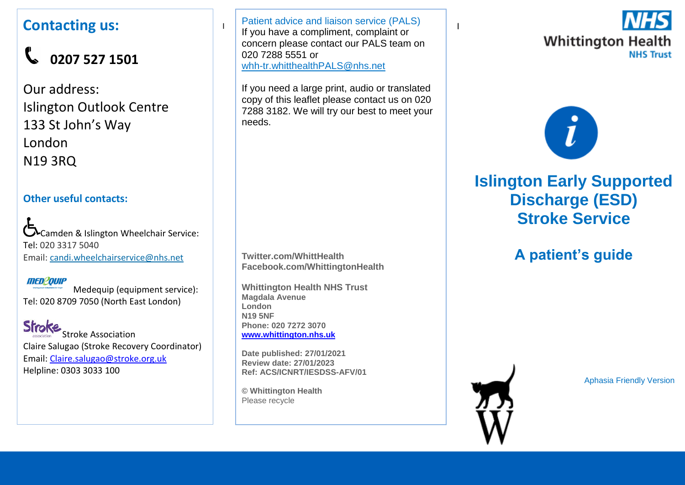### **Contacting us:**

# **0207 527 1501**

Our address: Islington Outlook Centre 133 St John's Way London N19 3RQ

#### **Other useful contacts:**

Camden & Islington Wheelchair Service: Tel: 020 3317 5040 Email: [candi.wheelchairservice@nhs.net](mailto:candi.wheelchairservice@nhs.net)

#### **MED20UIP**

Medequip (equipment service): Tel: 020 8709 7050 (North East London)

**Stroke** Stroke Association Claire Salugao (Stroke Recovery Coordinator) Email: [Claire.salugao@stroke.org.uk](mailto:Claire.salugao@stroke.org.uk) Helpline: 0303 3033 100

I If you have a compliment, complaint or  $\begin{bmatrix} 1 & x \\ y & z \end{bmatrix}$ Patient advice and liaison service (PALS) concern please contact our PALS team on 020 7288 5551 or [whh-tr.whitthealthPALS@nhs.net](mailto:whh-tr.whitthealthPALS@nhs.net)

If you need a large print, audio or translated copy of this leaflet please contact us on 020 7288 3182. We will try our best to meet your needs.

**Twitter.com/WhittHealth Facebook.com/WhittingtonHealth**

**Whittington Health NHS Trust Magdala Avenue London N19 5NF Phone: 020 7272 3070 [www.whittington.nhs.uk](http://www.whittington.nhs.uk/)**

**Date published: 27/01/2021 Review date: 27/01/2023 Ref: ACS/ICNRT/IESDSS-AFV/01**

**© Whittington Health** Please recycle





# **Islington Early Supported Discharge (ESD) Stroke Service**

# **A patient's guide**

Aphasia Friendly Version